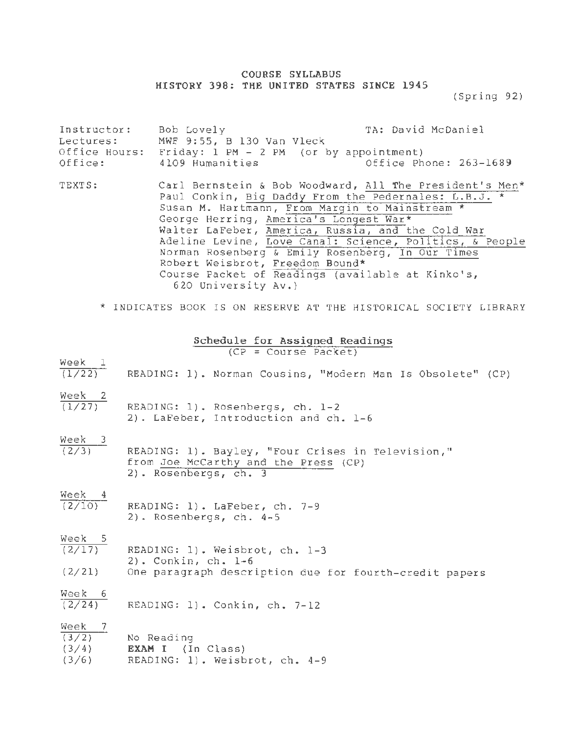## **COURSE SYLLABUS HISTORY 398: THE UNITED STATES S I NCE 1945**

(Spring 92)

| Instructor:<br>Lectures:<br>Office Hours:<br>Office: | Bob Lovely<br>MWF 9:55, B 130 Van Vleck<br>Friday: 1 PM - 2 PM (or by appointment)<br>4109 Humanities                                                                                                                                                                                                                                                                                                                                                                                         | TA: David McDaniel<br>Office Phone: 263-1689 |
|------------------------------------------------------|-----------------------------------------------------------------------------------------------------------------------------------------------------------------------------------------------------------------------------------------------------------------------------------------------------------------------------------------------------------------------------------------------------------------------------------------------------------------------------------------------|----------------------------------------------|
| TEXTS:                                               | Carl Bernstein & Bob Woodward, All The President's Men*<br>Paul Conkin, Big Daddy From the Pedernales: L.B.J. *<br>Susan M. Hartmann, From Margin to Mainstream *<br>George Herring, America's Longest War*<br>Walter LaFeber, America, Russia, and the Cold War<br>Adeline Levine, Love Canal: Science, Politics, & People<br>Norman Rosenberg & Emily Rosenberg, In Our Times<br>Robert Weisbrot, Freedom Bound*<br>Course Packet of Readings (available at Kinko's,<br>620 University Av.) |                                              |
|                                                      | * INDICATES BOOK IS ON RESERVE AT THE HISTORICAL SOCIETY LIBRARY                                                                                                                                                                                                                                                                                                                                                                                                                              |                                              |

| Schedule for Assigned Readings<br>$(CP = Course Packet)$                                                                                |
|-----------------------------------------------------------------------------------------------------------------------------------------|
| $\frac{\text{Week}}{(1/22)}$ READING: 1). Norman Cousins, "Modern Man Is Obsolete" (CP)                                                 |
| $\frac{\text{Week}}{(1/27)}$ READING: 1). Rosenbergs, ch. 1-2<br>2). LaFeber, Introduction and ch. 1-6                                  |
| Week 3<br>(2/3) READING: 1). Bayley, "Four Crises in Television,"<br>from Joe McCarthy and the Press (CP)<br>2). Rosenbergs, ch. 3      |
| $\frac{\text{Week}}{(2/10)}$ READING: 1). LaFeber, ch. 7-9<br>2). Rosenbergs, ch. 4-5                                                   |
| Week 5<br>(2/17) READING: 1). Weisbrot, ch. 1-3<br>2). Conkin, ch. 1-6<br>(2/21) One paragraph description due for fourth-credit papers |
| $\frac{\text{Week } 6}{(2/24)}$ READING: 1). Conkin, ch. 7-12                                                                           |
| $\frac{\text{Week}}{(3/2)}$ No Reading<br>$(3/4)$ <b>EXAM I</b> (In Class)                                                              |

 $(3/6)$ READING: 1). Weisbrot, ch. 4-9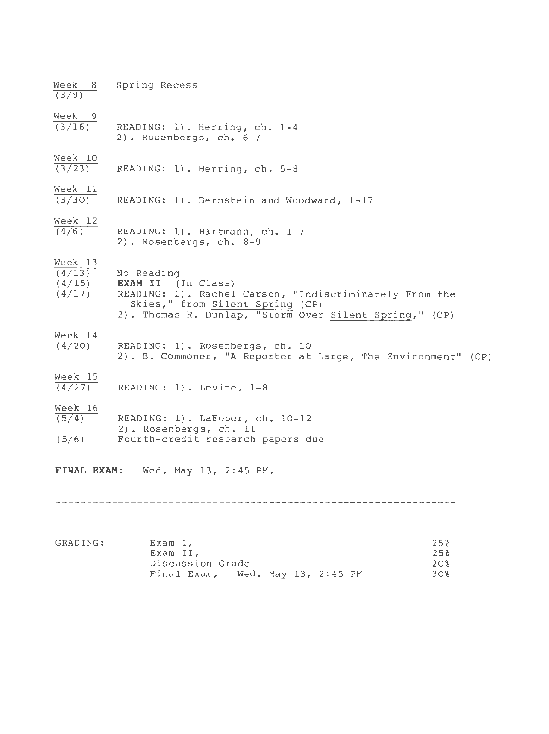| Week 8<br>(3/9)               | Spring Recess                                                                                                                                                                                                           |                   |
|-------------------------------|-------------------------------------------------------------------------------------------------------------------------------------------------------------------------------------------------------------------------|-------------------|
| Week 9<br>(3/16)              | READING: 1). Herring, ch. 1-4<br>$2)$ . Rosenbergs, ch. 6-7                                                                                                                                                             |                   |
| Week 10<br>$\frac{1}{(3/23)}$ | READING: 1). Herring, ch. 5-8                                                                                                                                                                                           |                   |
| $\frac{\text{Week}}{(3/30)}$  | READING: 1). Bernstein and Woodward, 1-17                                                                                                                                                                               |                   |
| Week 12<br>(4/6)              | READING: 1). Hartmann, ch. 1-7<br>2). Rosenbergs, ch. 8-9                                                                                                                                                               |                   |
| Week 13                       | $(4/13)$ No Reading<br>$(4/15)$ <b>EXAM II</b> (In Class)<br>(4/17) READING: 1). Rachel Carson, "Indiscriminately From the<br>Skies," from Silent Spring (CP)<br>2). Thomas R. Dunlap, "Storm Over Silent Spring," (CP) |                   |
| Week 14<br>(4/20)             | READING: 1). Rosenbergs, ch. 10<br>2). B. Commoner, "A Reporter at Large, The Environment" (CP)                                                                                                                         |                   |
| Week 15<br>(4/27)             | READING: 1). Levine, 1-8                                                                                                                                                                                                |                   |
| Week 16                       | $\overline{(5/4)}$ READING: 1). LaFeber, ch. 10-12<br>2). Rosenbergs, ch. 11<br>(5/6) Fourth-credit research papers due                                                                                                 |                   |
|                               | FINAL EXAM: Wed. May 13, 2:45 PM.                                                                                                                                                                                       |                   |
|                               |                                                                                                                                                                                                                         |                   |
| GRADING:                      | Exam I,<br>Exam II,<br>Discussion Grade                                                                                                                                                                                 | 25%<br>25%<br>20% |

Wed. May 13, 2:45 PM

30%

Final Exam ,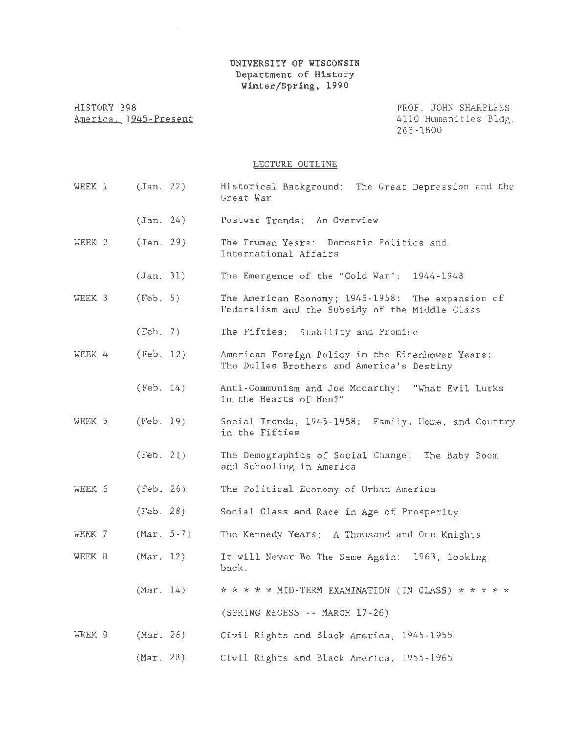## UNIVERSITY OF WISCONSIN Department of History Winter/Spring, 1990

HISTORY 398 America. 1945-Present

PROF. JOHN SHARPLESS 4110 Humanities Bldg. 263-1800

## LECTURE OUTLINE

| WEEK 1 | (Jan. 22)            | Historical Background: The Great Depression and the<br>Great War                                    |
|--------|----------------------|-----------------------------------------------------------------------------------------------------|
|        | (Jan. 24)            | Postwar Trends: An Overview                                                                         |
| WEEK 2 | (Jan. 29)            | The Truman Years: Domestic Politics and<br>International Affairs                                    |
|        | (Jan. 31)            | The Emergence of the "Cold War": 1944-1948                                                          |
| WEEK 3 | (Feb. 5)             | The American Economy; 1945-1958: The expansion of<br>Federalism and the Subsidy of the Middle Class |
|        | (Feb. 7)             | The Fifties: Stability and Promise                                                                  |
| WEEK 4 | (Feb. 12)            | American Foreign Policy in the Eisenhower Years:<br>The Dulles Brothers and America's Destiny       |
|        | (Feb. 14)            | Anti-Communism and Joe Mccarthy: "What Evil Lurks<br>in the Hearts of Men?"                         |
| WEEK 5 | (Feb. 19)            | Social Trends, 1945-1958: Family, Home, and Country<br>in the Fifties                               |
|        | (Feb. 21)            | The Demographics of Social Change: The Baby Boom<br>and Schooling in America                        |
| WEEK 6 | (Feb. 26)            | The Political Economy of Urban America                                                              |
|        | (Feb. 28)            | Social Class and Race in Age of Prosperity                                                          |
| WEEK 7 | $(Mar. 5-7)$         | The Kennedy Years: A Thousand and One Knights                                                       |
| WEEK 8 | (Mar, 12)            | It will Never Be The Same Again: 1963, looking<br>back.                                             |
|        | (Mar, 14)            | * * * * * MID-TERM EXAMINATION (IN CLASS) * * * * *                                                 |
|        |                      | (SPRING RECESS -- MARCH 17-26)                                                                      |
| WEEK 9 | $\texttt{(Mar. 26)}$ | Civil Rights and Black America, 1945-1955                                                           |
|        | (Mar. 28)            | Civil Rights and Black America, 1955-1965                                                           |